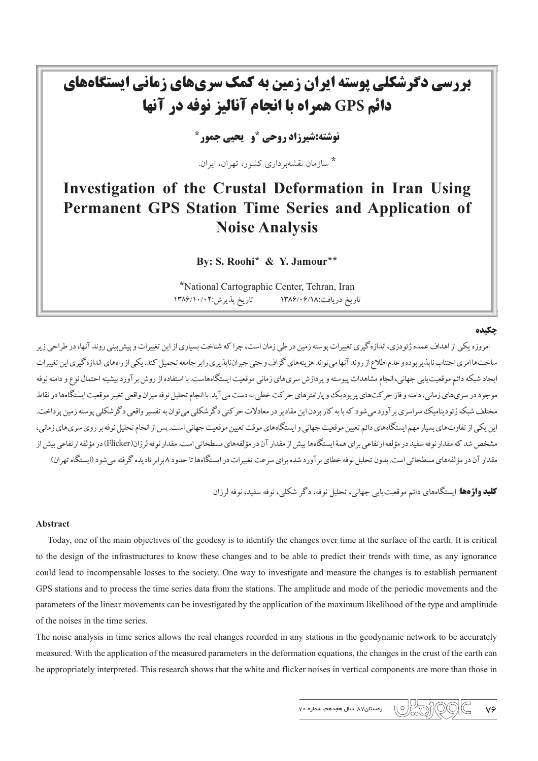# بررسی دگرشکلی پوسته ایران زمین به کمک سریهای زمانی ایستگاههای دائم GPS همراه با انجام آنالیز نوفه در آنها

**نوشته:شیرزاد روحی "و گچی چمور "** 

\* سازمان نقشهر داری کشور، تهران، ایران.

# Investigation of the Crustal Deformation in Iran Using Permanent GPS Station Time Series and Application of **Noise Analysis**

By: S. Roohi\* & Y. Jamour\*\*

\*National Cartographic Center, Tehran, Iran تاریخ دریافت:۱۳۸۶/۰۶/۱۸ تاریخ پذیرش:۱۳۸۶/۱۰/۰۲

#### چکیده

امروزه یکی از اهداف عمده ژئو دزی،اندازه گیری تغییرات یوسته زمین در طی زمان است، چرا که شناخت بسیاری از این تغییرات و پیش بینی روند آنها، در طراحی زیر ساخت هاامری اجتناب ناپذیر بوده و عدم اطلاع از روند آنهامه تواند هز منههای گزاف و حتی جیراناپذیری را بر جامعه تحبیل کند. یک از راههای اندازه گیری این تغییرات ايجاد شبكه دائم موقعيت يابي جهاني، انجام مشاهدات پيوسته و پردازش سرىهاي زماني موقعيت ايستگاههاست. با استفاده از روش برآورد بيشينه احتمال نوع و دامنه نوفه موجود در سري هاي زماني، دامنه و فاز حر كت هاي پريوديك و پارامتر هاي حركت خطي به دست مي آيد. با انجام تحليل نوفه ميزان واقعي تغيير موقعيت ايستگاهها در نقاط مختلف شبکه ژئودینامیک سراسری بر آورد می شود که با به کار بردن این مقادیر در معادلات حرکتی دگر شاید ته تفسیر واقعی دگر شکلی بوسته زمین یرداخت. این یکی از تفاوتهای بسیار مهم ایستگاههای دائم تعیین موقعیت جهانی و ایستگاههای موقت تعیین موقعیت جهانی است. پس از انجام تحلیل نوفه بر روی سری های زمانی، مشخص شد که مقدار نوفه سفید در مؤلفه ارتفاعی برای همهٔ ایستگاهها بیش از مقدار آن در مؤلفههای مسطحاتی است.مقدار نوفه لرزان(Flicker) در مؤلفه ارتفاعی بیش از مقدار آن در مؤلفههای مسطحاتی است. بدون تحلیل نوفه خطای بر آورد شده برای سرعت تغییرات در ایستگاهها تا حدود ۸ برابر نادیده گرفته می شود (ایستگاه تهران).

**کلید واژهها**: ایستگاههای دائم موقعت بای<sub>،</sub> جهانی، تحلیل نوفه، دگر شکلی، نوفه سفید، نوفه لرزان

#### **Abstract**

Today, one of the main objectives of the geodesy is to identify the changes over time at the surface of the earth. It is critical to the design of the infrastructures to know these changes and to be able to predict their trends with time, as any ignorance could lead to incompensable losses to the society. One way to investigate and measure the changes is to establish permanent GPS stations and to process the time series data from the stations. The amplitude and mode of the periodic movements and the parameters of the linear movements can be investigated by the application of the maximum likelihood of the type and amplitude of the noises in the time series.

The noise analysis in time series allows the real changes recorded in any stations in the geodynamic network to be accurately measured. With the application of the measured parameters in the deformation equations, the changes in the crust of the earth can be appropriately interpreted. This research shows that the white and flicker noises in vertical components are more than those in

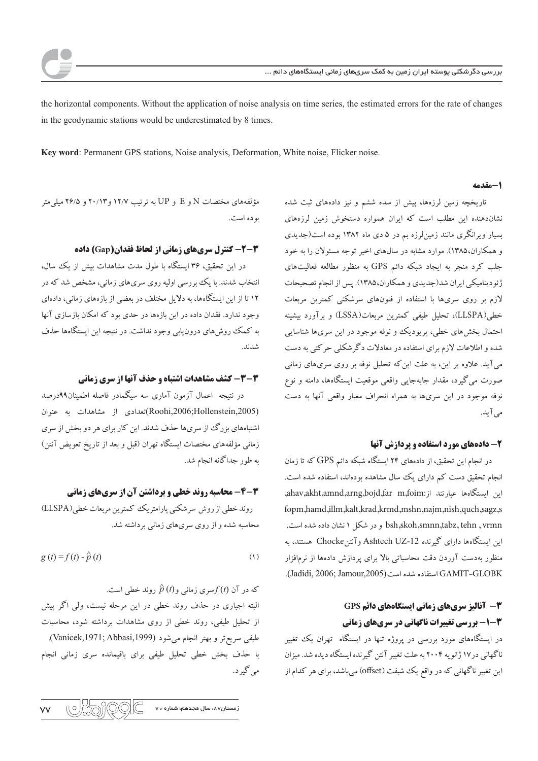the horizontal components. Without the application of noise analysis on time series, the estimated errors for the rate of changes in the geodynamic stations would be underestimated by 8 times.

Key word: Permanent GPS stations, Noise analysis, Deformation, White noise, Flicker noise.

#### 1-مقدمه

تاریخچه زمین لرزهها، پیش از سده ششم و نیز دادههای ثبت شده نشان دهنده این مطلب است که ایران همواره دستخوش زمین لرزههای بسیار ویرانگری مانند زمین لرزه بم در ۵ دی ماه ۱۳۸۲ بوده است(جدیدی و همکاران،۱۳۸۵). موارد مشابه در سال های اخیر توجه مسئولان را به خود جلب کرد منجر به ایجاد شبکه دائم GPS به منظور مطالعه فعالیتهای ژئودینامیکی ایران شد(جدیدی و همکاران،۱۳۸۵). پس از انجام تصحیحات لازم بر روی سریها با استفاده از فنونهای سرشکنی کمترین مربعات خطی(LLSPA)، تحلیل طیفی کمترین مربعات(LSSA) و برآورد بیشینه احتمال بخش های خطی، پریودیک و نوفه موجود در این سریها شناسایی شده و اطلاعات لازم برای استفاده در معادلات دگرشکلی حرکتی به دست میآید. علاوه بر این، به علت این که تحلیل نوفه بر روی سریهای زمانی صورت می گیرد، مقدار جابهجایی واقعی موقعیت ایستگاهها، دامنه و نوع نوفه موجود در این سریها به همراه انحراف معیار واقعی آنها به دست مے , آ بلہ.

### ۲- دادههای مورد استفاده و یردازش آنها

در انجام این تحقیق، از دادههای ۲۴ ایستگاه شبکه دائم GPS که تا زمان انجام تحقیق دست کم دارای یک سال مشاهده بودهاند، استفاده شده است. اين ايستگامها عبارتند از:ahav,akht,amnd,arng,bojd,far m,foim, fopm,hamd,illm,kalt,krad,krmd,mshn,najm,nish,quch,sagz,s bsh,skoh,smnn,tabz, tehn , vrmn و در شکل ۱ نشان داده شده است. این ایستگاهها دارای گیرنده Ashtech UZ-12 و آنتن Chocke هستند، به منظور بهدست آوردن دقت محاسباتی بالا برای پردازش دادهها از نرمافزار GAMIT-GLOBK استفاده شده است (Jadidi, 2006; Jamour,2005).

# **3- آنالیز سریهای زمانی ایستگاههای دائم GPS ۱-۳- بررسی تغییرات ناگهانی در سریهای زمانی**

در ایستگاههای مورد بررسی در پروژه تنها در ایستگاه تهران یک تغییر ناگهانی در ۱۷ ژانویه ۲۰۰۴ به علت تغییر آنتن گیرنده ایستگاه دیده شد. میزان این تغییر ناگهانی که در واقع یک شیفت (offset) می باشد، برای هر کدام از

مؤلفههای مختصات N و E و UP به ترتیب ۱۲/۷ و۲۰/۱۳ و ۲۶/۵ میل<sub>م</sub>یتر بو ده است.

## **3-2- کنترل سریهای زمانی از لحاظ فقدان(Gap) داده**

در این تحقیق، ۳۶ ایستگاه با طول مدت مشاهدات بیش از یک سال، .<br>انتخاب شدند. با یک بررسی اولیه روی سریهای زمانی، مشخص شد که در ۱۲ تا از این ایستگاهها، به دلایل مختلف در بعضی از بازههای زمانی، دادهای وجود ندارد. فقدان داده در این بازهها در حدی بود که امکان بازسازی آنها به کمک روش های درون یابی وجود نداشت. در نتیجه این ایستگاهها حذف شدند.

#### 3-3- كشف مشاهدات اشتباه و حذف آنها از سرى زماني

در نتیجه اعمال آزمون آماری سه سبگمادر فاصله اطمینان۹۹درصد (Roohi,2006;Hollenstein,2005)تعدادی از مشاهدات به عنوان اشتباههای بزرگ از سریها حذف شدند. این کار برای هر دو بخش از سری زمانی مؤلفههای مختصات ایستگاه تهران (قبل و بعد از تاریخ تعویض آنتن) به طور جداگانه انجام شد.

# 4-4- محاسبه روند خطی و برداشتن آن از سریهای زمانی روند خطي از روش سرشكني پارامتريك كمترين مربعات خطي(LLSPA) محاسبه شده و از روی سریهای زمانی برداشته شد.

$$
g(t) = f(t) - \hat{p}(t)
$$
 (1)

که در آن  $f(t)$ سری زمانی و $\hat{p}\left( t\right)$  روند خطی است. البته اجباری در حذف روند خطی در این مرحله نیست، ولی اگر پیش از تحلیل طیفی، روند خطی از روی مشاهدات برداشته شود، محاسبات طيفي سريع تر و بهتر انجام مي شود (Vanicek,1971; Abbasi,1999). با حذف بخش خطى تحليل طيفى براى باقيمانده سرى زمانى انجام مي گير د.

 $\mathbb{R}^{\circ}$ .<br>زمستان۸۷، سال هجدهم، شماره ۷۰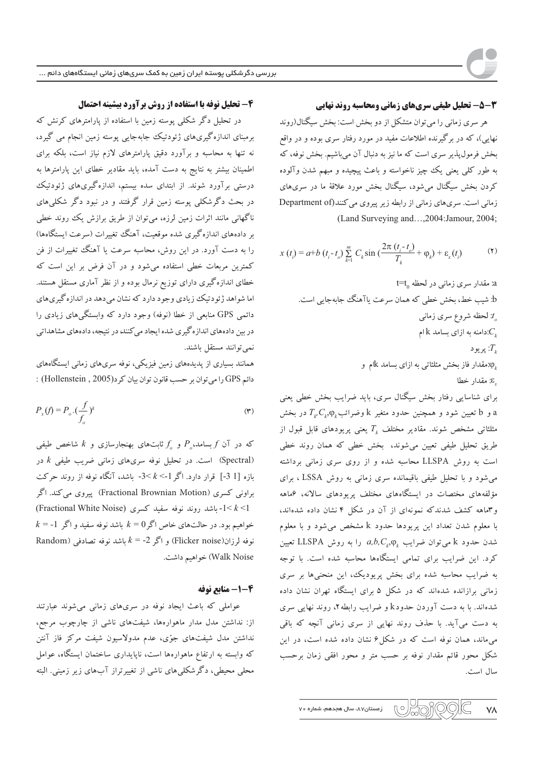## 3-3- تحلیل طیفی سریهای زمانی ومحاسبه روند نهایی

هر سری زمانی را میتوان متشکل از دو بخش است: بخش سیگنال(روند نهایی)، که در برگیرنده اطلاعات مفید در مورد رفتار سری بوده و در واقع بخش فرمول پذیر سری است که ما نیز به دنبال آن می باشیم. بخش نوفه، که به طور کلی یعنی یک چیز ناخواسته و باعث پیچیده و مبهم شدن وآلوده کردن بخش سیگنال میشود، سیگنال بخش مورد علاقهٔ ما در سریهای زمانی است. سری های زمانی از رابطه زیر پیروی می کنند(Department of (Land Surveying and...,2004:Jamour, 2004;

$$
x(t_i) = a + b(t_i - t_o) \sum_{k=1}^{m} C_k \sin\left(\frac{2\pi (t_i - t_o)}{T_k} + \varphi_k\right) + \varepsilon_x(t_i)
$$
 (7)

a: مقدار سرى زمانى در لحظه 1=t b: شيب خط، بخش خطي كه همان سرعت ياآهنگ جابهجايي است. : لحظه شروع سري زمانبي دامنه به ازای بسامد  $\mathrm{k}$ ام $C_{\scriptscriptstyle{k}}$ بريود  $T_{_{k}}$ ان مقدار فاز بخش مثلثاتی به ازای بسامد  $\Bbbk$ ام و $\phi_{_{\vec{k}}}$ £: مقدار خطا

برای شناسایی رفتار بخش سیگنال سری، باید ضرایب بخش خطی یعنی و b و b تعیین شود و همچنین حدود متغیر k وضرائب  $T_p C_p \varphi$  در بخش مثلثاتی مشخص شوند. مقادیر مختلف  $T_{\scriptscriptstyle{k}}$  یعنی پریودهای قابل قبول از طریق تحلیل طیفی تعیین می شوند، بخش خطی که همان روند خطی است به روش LLSPA محاسبه شده و از روی سری زمانی برداشته می شود و با تحلیل طیفی باقیمانده سری زمانی به روش LSSA ، برای مؤلفههای مختصات در ایستگاههای مختلف پریودهای سالانه، عماهه و ۳ماهه کشف شدندکه نمونهای از آن در شکل ۴ نشان داده شدهاند، با معلوم شدن تعداد این پریودها حدود k مشخص می شود و با معلوم شدن حدود k میتوان ضرایب  $a,b,C_k, \varphi_k$  را به روش LLSPA تعیین کرد. این ضرایب برای تمامی ایستگاهها محاسبه شده است. با توجه به ضرایب محاسبه شده برای بخش پریودیک، این منحنیها بر سری زمانی برازانده شدهاند که در شکل ۵ برای ایستگاه تهران نشان داده شدهاند. با به دست آوردن حدودk و ضرایب رابطه ۲، روند نهایی سری به دست میآید. با حذف روند نهایی از سری زمانی آنچه که باقی می ماند، همان نوفه است که در شکل ۶ نشان داده شده است، در این شکل محور قائم مقدار نوفه بر حسب متر و محور افقی زمان برحسب سال است.

## 4- تحلیل نوفه با استفاده از روش برآورد بیشینه احتمال

در تحلیل دگر شکلی پوسته زمین با استفاده از پارامترهای کرنش که برمبنای اندازه گیریهای ژئودتیک جابهجایی پوسته زمین انجام می گیرد، نه تنها به محاسبه و برآورد دقیق پارامترهای لازم نیاز است، بلکه برای اطمینان بیشتر به نتایج به دست آمده، باید مقادیر خطای این پارامترها به درستی برآورد شوند. از ابتدای سده بیستم، اندازهگیریهای ژئودتیک در بحث دگرشکلی پوسته زمین قرار گرفتند و در نبود دگر شکلیهای ناگهانی مانند اثرات زمین لرزه، میتوان از طریق برازش یک روند خطی بر دادههای اندازه گیری شده موقعیت، آهنگ تغییرات (سرعت ایستگاهها) را به دست آورد. در این روش، محاسبه سرعت یا آهنگ تغییرات از فن کمترین مربعات خطی استفاده می شود و در آن فرض بر این است که خطای اندازهگیری دارای توزیع نرمال بوده و از نظر آماری مستقل هستند. اما شواهد ژئودتیک زیادی وجود دارد که نشان میدهد در اندازه گیریهای دائمی GPS منابعی از خطا (نوفه) وجود دارد که وابستگیهای زیادی را در بین دادههای اندازه گیری شده ایجاد می کنند، در نتیجه، دادههای مشاهداتی نمي توانند مستقل باشند.

همانند بسیاری از پدیدههای زمین فیزیکی، نوفه سریهای زمانی ایستگاههای دائم GPS را می توان بر حسب قانون توان بیان کرد(Hollenstein , 2005) :

$$
P_x(f) = P_o \cdot (\frac{f}{f_o})^k \tag{7}
$$

که در آن  $f$ بسامد، $P_a$  و  $f_a$  ثابت $a$ ای بهنجارسازی و  $k$  شاخص طیفی است. در تحلیل نوفه سریهای زمانی ضریب طیفی  $k$  در (Spectral) بازه [3 1-] قرار دارد. اگر 1-> k<- باشد، آنگاه نوفه از روند حرکت براونی کسری (Fractional Brownian Motion) پیروی می کند. اگر (Fractional White Noise) اباشد روند نوفه سفید کسری(Fractional White Noise)  $k =$ -1 خواهیم بود. در حالتهای خاص اگر $k = 0$  باشد نوفه سفید و اگر Random) و اگر Flicker noise) و اگر k = -2 باشد نوفه تصادفی (Random Walk Noise) خواهیم داشت.

# 4-1- منابع نوفه

عواملی که باعث ایجاد نوفه در سریهای زمانی میشوند عبارتند از: نداشتن مدل مدار ماهوارهها، شیفتهای ناشی از چارچوب مرجع، نداشتن مدل شیفتهای جوّی، عدم مدولاسیون شیفت مرکز فاز آنتن که وابسته به ارتفاع ماهوارهها است، ناپایداری ساختمان ایستگاه، عوامل محلی محیطی، دگرشکلیهای ناشی از تغییرتراز آبهای زیر زمینی. البته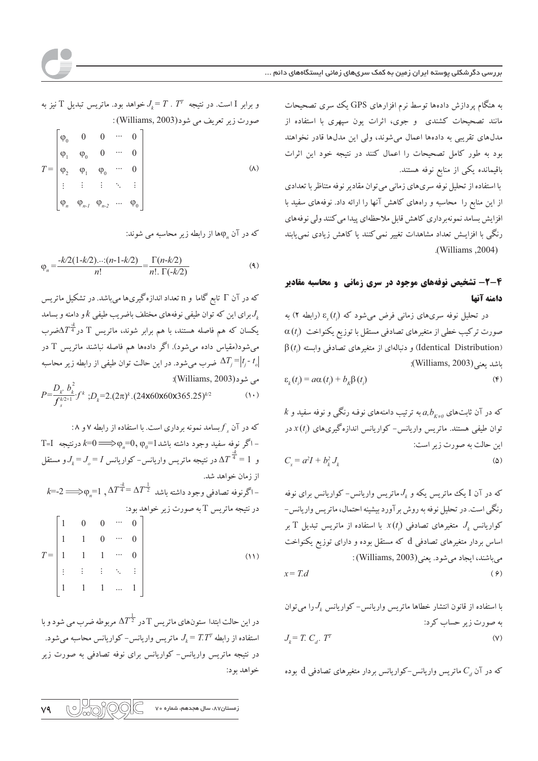به هنگام پردازش دادهها توسط نرم افزارهای GPS یک سری تصحیحات مانند تصحیحات کشندی ً و جوی، اثرات یون سپهری با استفاده از مدلهای تقریبی به دادهها اعمال میشوند، ولی این مدلها قادر نخواهند بود به طور کامل تصحیحات را اعمال کنند در نتیجه خود این اثرات باقیمانده یکی از منابع نوفه هستند.

با استفاده از تحلیل نوفه سریهای زمانی می توان مقادیر نوفه متناظر با تعدادی از این منابع را محاسبه و راههای کاهش آنها را ارائه داد. نوفههای سفید با افزایش بسامد نمونهبرداری کاهش قابل ملاحظهای پیدا می کنند ولی نوفههای رنگی با افزایـش تعداد مشاهدات تغییر نمی کنند یا کاهش زیادی نمییابند (Williams, 2004).

# 4-2- تشخیص نوفههای موجود در سری زمانی و محاسبه مقادیر دامنه آنها

در تحلیل نوفه سریهای زمانی فرض میشود که  $\varepsilon_r(t)$  (رابطه ۲) به  $\alpha(t_i)$  صورت ترکیب خطی از متغیرهای تصادفی مستقل با توزیع یکنواخت  $\beta(t_i)$  و دنبالهای از متغیرهای تصادفی وابسته (Identical Distribution) باشد يعني(Williams, 2003):

$$
\varepsilon_k(t_i) = a\alpha(t_i) + b_k\beta(t_i) \tag{6}
$$

 $k$  که در آن ثابتهای  $a,b$ به ترتیب دامنههای نوفه رنگی و نوفه سفید و توان طیفی هستند. ماتریس واریانس- کواریانس اندازهگیریهای  $x(t_i)$  در این حالت به صورت زیر است:  $C = a^2I + b^2, J,$  $(\Delta)$ 

که در آن I یک ماتریس یکه و  $J_{\iota}$ ماتریس واریانس– کواریانس برای نوفه رنگی است. در تحلیل نوفه به روش بر آورد بیشینه احتمال، ماتریس واریانس – کواریانس  $J_{_{k}}$  متغیرهای تصادفی  $x(t_{i})$  با استفاده از ماتریس تبدیل  $\mathrm{T}$  بر اساس بردار متغیرهای تصادفی d که مستقل بوده و دارای توزیع یکنواخت مي باشند، ايجاد مي شود. يعني(Williams, 2003):

$$
x = T.d \tag{9}
$$

با استفاده از قانون انتشار خطاها ماتریس واریانس- کواریانس  $J_{\rm k}$ را میتوان به صورت زیر حساب کرد:

$$
J_k = T. C_d. T^T
$$
 (V)

که در آن  $C_{\scriptscriptstyle A}$  ماتریس واریانس-کواریانس بردار متغیرهای تصادفی  $\rm d$  بوده

و برابر  $\Gamma$  است. در نتیجه  $T$  .  $T = I$  خواهد بود. ماتریس تبدیل  $\Gamma$  نیز به صورت زير تعريف مي شود(Williams, 2003):

$$
T = \begin{bmatrix} \varphi_0 & 0 & 0 & \cdots & 0 \\ \varphi_1 & \varphi_0 & 0 & \cdots & 0 \\ \varphi_2 & \varphi_1 & \varphi_0 & \cdots & 0 \\ \vdots & \vdots & \vdots & \ddots & \vdots \\ \varphi_n & \varphi_{n-1} & \varphi_{n-2} & \cdots & \varphi_0 \end{bmatrix}
$$
 (A)

که در آن ۵۵٫ از رابطه زیر محاسبه می شوند:

$$
\varphi_n = \frac{-k/2(1-k/2)\dots(n-1-k/2)}{n!} = \frac{\Gamma(n-k/2)}{n! \cdot \Gamma(-k/2)}
$$
\n(4)

که در آن T تابع گاما و n تعداد اندازهگیریها میباشد. در تشکیل ماتریس برای این که توان طیفی نوفههای مختلف باضریب طیفی  $k$ و دامنه و بسامد $J_{_{k}}$ یکسان که هم فاصله هستند، با هم برابر شوند، ماتریس  $\mathrm{T}$  در $\Delta T^{\frac{4}{4}}$ ضرب میشود(مقیاس داده میشود). اگر دادهها هم فاصله نباشند ماتریس T در ضرب می شود. در این حالت توان طیفی از رابطه زیر محاسبه  $\Delta T_j\!=\!\left|t_j\!\cdot t_o\right|$ مي شود(Williams, 2003):  $P=\frac{D_k}{f^{k/2+1}}\frac{b_k^2}{f^k}$ ;  $D_k=2.(2\pi)^k.(24x60x60x365.25)^{k/2}$  $(1 \cdot)$ 

که در آن  $f_s$ بسامد نمونه برداری است. با استفاده از رابطه ۷ و ۸: T=I درنتیجه  $k$ =0 $\langle \varphi_{n} = 0, \varphi_{n} = 0, \varphi_{n} = 0$  درنتیجه T=I و  $1 = \frac{\pi}{4} = 1$  در نتیجه ماتریس واریانس- کواریانس  $J_c = J_c = 1$ و مستقل از زمان خواهد شد.  $k$ =-2 $\Longrightarrow$ اگرنوفه تصادفی وجود داشته باشد  $\Delta T^{\frac{1}{4}}$   $\Delta T^{\frac{1}{4}}$  ,  $\Delta T^{\frac{1}{4}}$ در نتیجه ماتریس T به صورت زیر خواهد بود:  $0 \cdots 0$  $\overline{1}$  $\begin{vmatrix} 1 & 1 & 0 & \cdots & 0 \end{vmatrix}$  $T = \begin{vmatrix} 1 & 1 & 1 & \cdots & 0 \end{vmatrix}$  $(11)$ 第二十二十八六  $\begin{vmatrix} 1 & 1 & 1 & \dots & 1 \end{vmatrix}$ 

در این حالت ابتدا ستونهای ماتریس T در  $\Lambda T^{\frac{1}{2}}$  مربوطه ضرب می شود و با استفاده از رابطه  $T. T^T$  =  $J_{\iota} = T. T^T$  ماتریس واریانس- کواریانس محاسبه میشود. در نتیجه ماتریس واریانس- کواریانس برای نوفه تصادفی به صورت زیر خواهد بود:

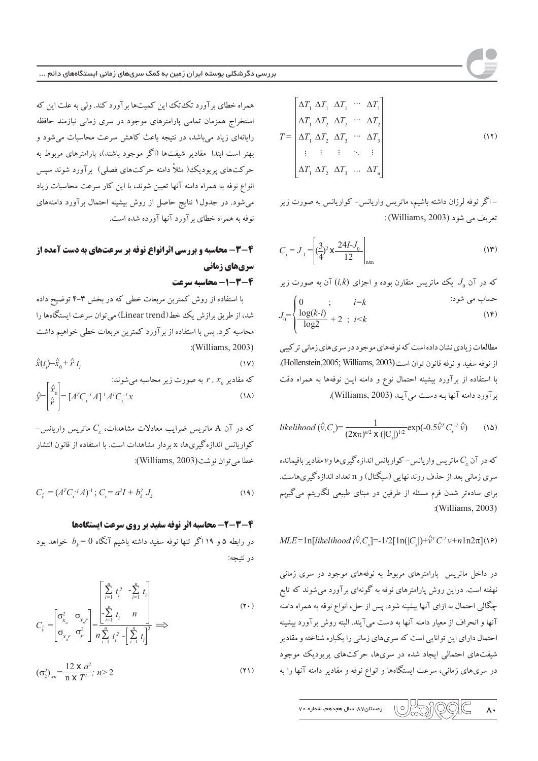$$
T = \begin{bmatrix} \Delta T_1 & \Delta T_1 & \cdots & \Delta T_1 \\ \Delta T_1 & \Delta T_2 & \Delta T_2 & \cdots & \Delta T_2 \\ \Delta T_1 & \Delta T_2 & \Delta T_3 & \cdots & \Delta T_3 \\ \vdots & \vdots & \vdots & \ddots & \vdots \\ \Delta T_1 & \Delta T_2 & \Delta T_3 & \cdots & \Delta T_n \end{bmatrix}
$$
 (17)

– اگر نوفه لرزان داشته باشیم، ماتریس واریانس– کواریانس به صورت زیر تعريف مي شود (Williams, 2003) :

$$
C_x = J_{1} = \left[ \left( \frac{3}{4} \right)^2 \mathbf{X} \frac{24I - J_0}{12} \right]_{n \times n} \tag{17}
$$

که در آن 
$$
J_0
$$
 یکک ماتریس متقارن بوده و اجرای  $(i,k)$  آن به صورت زیر  
حساب می شود:  
 $J_0 = \begin{cases} 0 & ; & i = k \\ \frac{\log(k-i)}{\log 2} + 2 & ; i < k \end{cases}$  (۱۹)

مطالعات زیادی نشان داده است که نوفههای موجود در سری های زمانی تر کیبی از نوفه سفيد و نوفه قانون توان است (Hollenstein,2005; Williams, 2003). با استفاده از برآورد بیشینه احتمال نوع و دامنه ایـن نوفهها به همراه دقت برآورد دامنه آنها به دست می آیـد (Williams, 2003).

$$
likelihood\left(\hat{v}, C_{x}\right) = \frac{1}{(2\tan)^{n/2} \mathbf{X} \left(|C_{x}|\right)^{1/2}} \exp(-0.5\hat{v}^{T} C_{x}^{-1} \hat{v}) \tag{12}
$$

که در آن ی $C$  ماتریس واریانس-کواریانس اندازهگیریها و۷ مقادیر باقیمانده سری زمانی بعد از حذف روند نهایی (سیگنال) و n تعداد اندازه گیریهاست. برای سادهتر شدن فرم مسئله از طرفین در مبنای طبیعی لگاریتم میگیریم :(Williams, 2003)

$$
MLE = \ln[likelihood(\hat{v}, C_x] = -1/2[ln(|C_x|) + \hat{v}^T C^{-1} v + nln2\pi](v)
$$

در داخل ماتریس پارامترهای مربوط به نوفههای موجود در سری زمانی نهفته است. دراین روش پارامترهای نوفه به گونهای برآورد میشوند که تابع چگالی احتمال به ازای آنها بیشینه شود. پس از حل، انواع نوفه به همراه دامنه آنها و انحراف از معیار دامنه آنها به دست میآیند. البته روش برآورد بیشینه احتمال دارای این توانایی است که سریهای زمانی را یکباره شناخته و مقادیر شیفتهای احتمالی ایجاد شده در سریها، حرکتهای پریودیک موجود در سریهای زمانی، سرعت ایستگاهها و انواع نوفه و مقادیر دامنه آنها را به

$$
\mathsf{v} \cdot \mathsf{v} \cdot \mathsf{v} \cdot \mathsf{v} \cdot \mathsf{v} \cdot \mathsf{v} \cdot \mathsf{v} \cdot \mathsf{v} \cdot \mathsf{v} \cdot \mathsf{v} \cdot \mathsf{v} \cdot \mathsf{v} \cdot \mathsf{v} \cdot \mathsf{v} \cdot \mathsf{v} \cdot \mathsf{v} \cdot \mathsf{v} \cdot \mathsf{v} \cdot \mathsf{v} \cdot \mathsf{v} \cdot \mathsf{v} \cdot \mathsf{v} \cdot \mathsf{v} \cdot \mathsf{v} \cdot \mathsf{v} \cdot \mathsf{v} \cdot \mathsf{v} \cdot \mathsf{v} \cdot \mathsf{v} \cdot \mathsf{v} \cdot \mathsf{v} \cdot \mathsf{v} \cdot \mathsf{v} \cdot \mathsf{v} \cdot \mathsf{v} \cdot \mathsf{v} \cdot \mathsf{v} \cdot \mathsf{v} \cdot \mathsf{v} \cdot \mathsf{v} \cdot \mathsf{v} \cdot \mathsf{v} \cdot \mathsf{v} \cdot \mathsf{v} \cdot \mathsf{v} \cdot \mathsf{v} \cdot \mathsf{v} \cdot \mathsf{v} \cdot \mathsf{v} \cdot \mathsf{v} \cdot \mathsf{v} \cdot \mathsf{v} \cdot \mathsf{v} \cdot \mathsf{v} \cdot \mathsf{v} \cdot \mathsf{v} \cdot \mathsf{v} \cdot \mathsf{v} \cdot \mathsf{v} \cdot \mathsf{v} \cdot \mathsf{v} \cdot \mathsf{v} \cdot \mathsf{v} \cdot \mathsf{v} \cdot \mathsf{v} \cdot \mathsf{v} \cdot \mathsf{v} \cdot \mathsf{v} \cdot \mathsf{v} \cdot \mathsf{v} \cdot \mathsf{v} \cdot \mathsf{v} \cdot \mathsf{v} \cdot \mathsf{v} \cdot \mathsf{v} \cdot \mathsf{v} \cdot \mathsf{v} \cdot \mathsf{v} \cdot \mathsf{v} \cdot \mathsf{v} \cdot \mathsf{v} \cdot \mathsf{v} \cdot \mathsf{v} \cdot \mathsf{v} \cdot \mathsf{v} \cdot \mathsf{v} \cdot \mathsf{v} \cdot \mathsf{v} \cdot \mathsf{v} \cdot \mathsf{v} \cdot \mathsf{v} \cdot \mathsf{v} \cdot \mathsf{v} \cdot \mathsf{v} \cdot \mathsf{v} \cdot
$$

بررسی دگرشکلی پوسته ایران رمین به کمک سریهای رمانی ایستگاههای دائم ...

همراه خطای بر آورد تک تک این کمیتها بر آورد کند. ولی به علت این که استخراج همزمان تمامى پارامترهاى موجود در سرى زمانى نيازمند حافظه رایانهای زیاد می،باشد، در نتیجه باعث کاهش سرعت محاسبات می،شود و بهتر است ابتدا ً مقادیر شیفتها (اگر موجود باشند)، پارامترهای مربوط به حرکتهای پریودیک3( مثلاً دامنه حرکتهای فصلی) برآورد شوند سپس انواع نوفه به همراه دامنه آنها تعیین شوند، با این کار سرعت محاسبات زیاد می شود. در جدول ۱ نتایج حاصل از روش بیشینه احتمال بر آورد دامنههای نوفه به همراه خطاي برآورد آنها آورده شده است.

# **4-3- محاسبه و بررسی اثرانواع نوفه بر سرعتهای به دست آمده از** سریهای زمانی 4-3-1- محاسبه سرعت

با استفاده از روش کمترین مربعات خطی که در بخش ۳-۴ توضیح داده شد، از طریق برازش یک خط(Linear trend) میتوان سرعت ایستگاهها را محاسبه کرد. پس با استفاده از بر آورد کمترین مربعات خطی خواهیم داشت :(Williams, 2003)  $\hat{x}(t) = \hat{x}_0 + \hat{r} t$ .  $(1V)$ که مقادیر ۲ ,  $x_a$  به صورت زیر محاسبه میشوند:  $\hat{\mathbf{y}} = \begin{bmatrix} \hat{x}_0 \\ \hat{x}_0 \\ \hat{r} \end{bmatrix} = [A^T C_x^{-1} A]^{\text{-}1} A^T C_x^{-1} x$  $(\lambda \lambda)$ 

– که در آن A ماتریس ضرایب معادلات مشاهدات،  $C_{\star}$  ماتریس واریانس کواریانس اندازهگیریها، x بردار مشاهدات است. با استفاده از قانون انتشار خطا مي توان نو شت (Williams, 2003):

$$
C_{\hat{v}} = (A^T C_x^{-1} A)^{-1}; C_x = a^2 I + b_k^2 J_k
$$
 (14)

## 4-2-2- محاسبه اثر نوفه سفید بر روی سرعت ایستگاهها

در رابطه ۵ و ۱۹ اگر تنها نوفه سفید داشته باشیم آنگاه  $b_{{\scriptscriptstyle L}}$  خواهد بود در نتيجه:

$$
C_{\hat{y}} = \begin{bmatrix} \sigma_{x_0}^2 & \sigma_{x_0} \\ \sigma_{x_0}^2 & \sigma_{x_0}^2 \end{bmatrix} = \frac{\begin{bmatrix} \sum_{i=1}^n t_i^2 & -\sum_{i=1}^n t_i \\ -\sum_{i=1}^n t_i & n \end{bmatrix}}{\sigma_{x_0}^2 \sigma_{r}^2} \implies (7 \cdot)
$$

$$
(\sigma_{\hat{r}}^2)_{\nu n} = \frac{12 \times a^2}{n \times T^2}; \ n \ge 2
$$
 (1)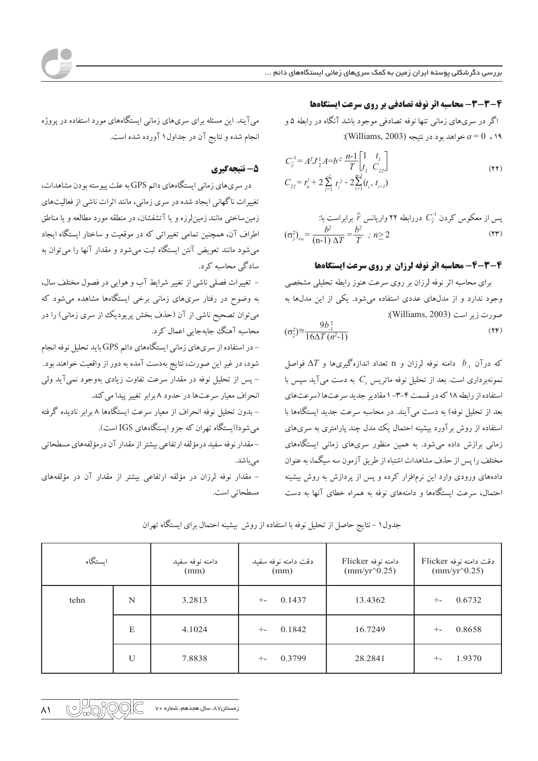# 4-3-3- محاسبه اثر نوفه تصادفي بر روى سرعت ايستگاهها

اگر در سریهای زمانی تنها نوفه تصادفی موجود باشد آنگاه در رابطه ۵ و :(Williams, 2003) خواهد بو د در نتيجه (Williams, 2003):

$$
C_{\hat{y}}^{-1} = A^T J_2^1 A = b^2 \frac{n-1}{T} \begin{bmatrix} 1 & t_1 \\ t_1 & C_{22} \end{bmatrix}
$$
  
\n
$$
C_{22} = t_n^2 + 2 \sum_{i=1}^{r} t_i^2 - 2 \sum_{i=1}^{n-1} (t_i, t_{i+1})
$$
 (YY)

پس از معکوس کردن 
$$
C_{\hat{y}}^{-1}
$$
 دررابطه ۲۲ واریانس ۴ برابرابراست با:  
\n
$$
(\sigma_{\hat{y}}^2)_{rw} = \frac{b^2}{(n-1) \Delta T} = \frac{b^2}{T}; n \ge 2
$$
\n(۲۳)

## 4-3-4- محاسبه اثر نوفه لرزان بر روی سرعت ایستگاهها

برای محاسبه اثر نوفه لرزان بر روی سرعت هنوز رابطه تحلیلی مشخصی وجود ندارد و از مدلهای عددی استفاده می شود. یکی از این مدلها به صورت ; بر است (Williams, 2003):

$$
(\sigma_{\hat{r}}^2)^{\approx} \frac{9b_{\cdot1}^2}{16\Delta T (n^2-1)}
$$
 (YF)

که درآن  $b_{-1}$  دامنه نوفه لرزان و n تعداد اندازهگیریها و  $\Delta T$  فواصل نمونهبرداری است. بعد از تحلیل نوفه ماتریس  $C_{x}$  به دست می $\bar{I}$ ید سپس با استفاده از رابطه ١٨ كه در قسمت ۴-٣- ١ مقادير جديد سرعتها (سرعتهاى بعد از تحلیل نوفه) به دست میآیند. در محاسبه سرعت جدید ایستگاهها با استفاده از روش برآورد بیشینه احتمال یک مدل چند پارامتری به سریهای زمانی برازش داده میشود. به همین منظور سریهای زمانی ایستگاههای مختلف را پس از حذف مشاهدات اشتباه از طریق آزمون سه سیگما، به عنوان دادههای ورودی وارد این نرمافزار کرده و پس از پردازش به روش بیشینه احتمال، سرعت ایستگاهها و دامنههای نوفه به همراه خطای آنها به دست

میآیند. این مسئله برای سریهای زمانی ایستگاههای مورد استفاده در پروژه انجام شده و نتایج آن در جداول ۱ آورده شده است.

### 5- نتىچەگىرى

در سری های زمانی ایستگاههای دائم GPS به علت پیوسته بودن مشاهدات، تغییرات ناگهانی ایجاد شده در سری زمانی، مانند اثرات ناشی از فعالیتهای زمین ساختی مانند زمین لرزه و یا آتشفشان، در منطقه مورد مطالعه و یا مناطق اطراف آن، همچنین تمامی تغییراتی که در موقعیت و ساختار ایستگاه ایجاد می شود مانند تعویض آنتن ایستگاه ثبت می شود و مقدار آنها را می توان به سادگی محاسبه کرد.

– تغییرات فصلی ناشی از تغییر شرایط آب و هوایی در فصول مختلف سال، به وضوح در رفتار سریهای زمانی برخی ایستگاهها مشاهده می شود که میتوان تصحیح ناشی از آن (حذف بخش پریودیک از سری زمانی) را در محاسبه آهنگ جابهجایی اعمال کرد.

- در استفاده از سریهای زمانی ایستگاههای دائم GPS باید تحلیل نوفه انجام شود، در غیر این صورت، نتایج بهدست آمده به دور از واقعیت خواهند بود. – پس از تحلیل نوفه در مقدار سرعت تفاوت زیادی بهوجود نمیآید ولی انحراف معیار سرعتها در حدود ۸ برابر تغییر پیدا می کند. – بدون تحلیل نوفه انحراف از معیار سرعت ایستگاهها ۸ برابر نادیده گرفته

می شود(ایستگاه تهران که جزو ایستگاههای IGS است).

– مقدار نوفه سفيد درمؤلفه ارتفاعي بيشتر از مقدار آن درمؤلفههاي مسطحاتي مے ماشد.

– مقدار نوفه لرزان در مؤلفه ارتفاعی بیشتر از مقدار آن در مؤلفههای مسطحاتی است.

| ايستگاه |   | دامنه نوفه سفيد<br>(mm) | دقت دامنه نوفه سفيد<br>(mm) | دامنه نوفه Flicker<br>$\text{(mm/yr}^0.25)$ | دقت دامنه نوفه Flicker<br>$\text{(mm/yr}^0.25)$ |
|---------|---|-------------------------|-----------------------------|---------------------------------------------|-------------------------------------------------|
| tehn    | N | 3.2813                  | 0.1437<br>$+ -$             | 13.4362                                     | 0.6732<br>$+ -$                                 |
|         | E | 4.1024                  | 0.1842<br>$+ -$             | 16.7249                                     | 0.8658<br>$+ -$                                 |
|         | U | 7.8838                  | 0.3799<br>$+ -$             | 28.2841                                     | 1.9370<br>$+ -$                                 |

جدول ۱ – نتایج حاصل از تحلیل نوفه با استفاده از روش بیشینه احتمال برای ایستگاه تهران

 $\mathbb{R}^{\circ}$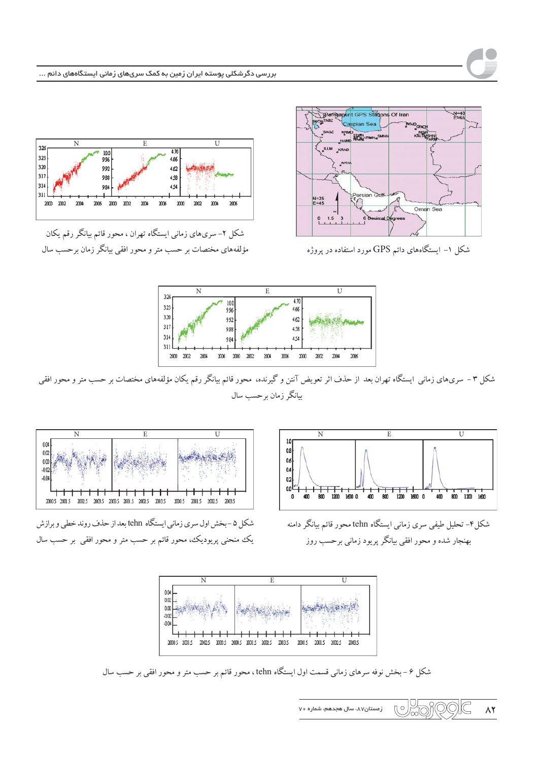

 $E$ 

2004

شکل ۲– سریهای زمانی ایستگاه تهران ، محور قائم بیانگر رقم یکان مؤلفههای مختصات بر حسب متر و محور افقی بیانگر زمان برحسب سال

4.70

4.66

4.62

458

4.54

2006 2000 m 2004

 $\mathbf{I}$ 

 $2006$ 

 $\overline{N}$ 

2004

10.0

996

992

988

98

2006 2000 2002

 $326$ 

323

320

3.17

3.14

 $3.11$ 

2000 2002



شکل ۱– ایستگاههای دائم GPS مورد استفاده در پروژه



شکل ۳ – سریهای زمانی ایستگاه تهران بعد از حذف اثر تعویض آنتن و گیرنده، محور قائم بیانگر رقم یکان مؤلفههای مختصات بر حسب متر و محور افقی بیانگر زمان برحسب سال



شکل ۵ –بخش اول سری زمانی ایستگاه tehn بعد از حذف روند خطی و برازش یک منحنی پریودیک، محور قائم بر حسب متر و محور افقی بر حسب سال



شکل۴- تحلیل طیفی سری زمانی ایستگاه tehn محور قائم بیانگر دامنه بهنجار شده و محور افقی بیانگر پر یود زمانی بر حسب روز



شکل ۶ – بخش نوفه سرهای زمانی قسمت اول ایستگاه tehn ، محور قائم بر حسب متر و محور افقی بر حسب سال